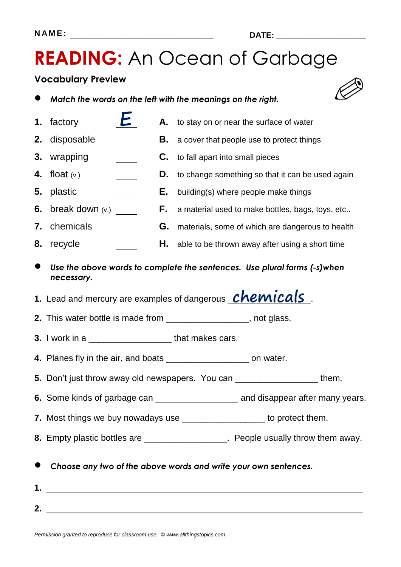**READING:** An Ocean of Garbage

#### **Vocabulary Preview**

|  | Match the words on the left with the meanings on the right. |
|--|-------------------------------------------------------------|
|--|-------------------------------------------------------------|

- **1.** factory  $\boldsymbol{\epsilon}$  **A.** to stay on or near the surface of water
- **2.** disposable **B.** a cover that people use to protect things
- **3.** wrapping **C.** to fall apart into small pieces
- **4.** float (v.) **D.** to change something so that it can be used again
- **5.** plastic **E.** building(s) where people make things
- **6.** break down (v.) **F.** a material used to make bottles, bags, toys, etc..
- **7.** chemicals **G.** materials, some of which are dangerous to health
- **8.** recycle **H.** able to be thrown away after using a short time
- *Use the above words to complete the sentences. Use plural forms (-s)when necessary.*
- 1. Lead and mercury are examples of dangerous **Chemicals**.
- **2.** This water bottle is made from \_\_\_\_\_\_\_\_\_\_\_\_\_\_\_\_\_, not glass.
- **3.** I work in a <u>second that makes cars.</u>
- **4.** Planes fly in the air, and boats **and in the set on water.**
- **5.** Don't just throw away old newspapers. You can \_\_\_\_\_\_\_\_\_\_\_\_\_\_\_\_\_ them.
- **6.** Some kinds of garbage can \_\_\_\_\_\_\_\_\_\_\_\_\_\_\_\_\_ and disappear after many years.
- **7.** Most things we buy nowadays use \_\_\_\_\_\_\_\_\_\_\_\_\_\_\_\_\_\_\_ to protect them.
- **8.** Empty plastic bottles are *\_\_\_\_\_\_\_\_\_\_\_\_\_\_\_\_\_\_\_\_\_*. People usually throw them away.
- *Choose any two of the above words and write your own sentences.*
- **1.** \_\_\_\_\_\_\_\_\_\_\_\_\_\_\_\_\_\_\_\_\_\_\_\_\_\_\_\_\_\_\_\_\_\_\_\_\_\_\_\_\_\_\_\_\_\_\_\_\_\_\_\_\_\_\_\_\_\_\_\_\_\_\_\_\_ **2.** \_\_\_\_\_\_\_\_\_\_\_\_\_\_\_\_\_\_\_\_\_\_\_\_\_\_\_\_\_\_\_\_\_\_\_\_\_\_\_\_\_\_\_\_\_\_\_\_\_\_\_\_\_\_\_\_\_\_\_\_\_\_\_\_\_



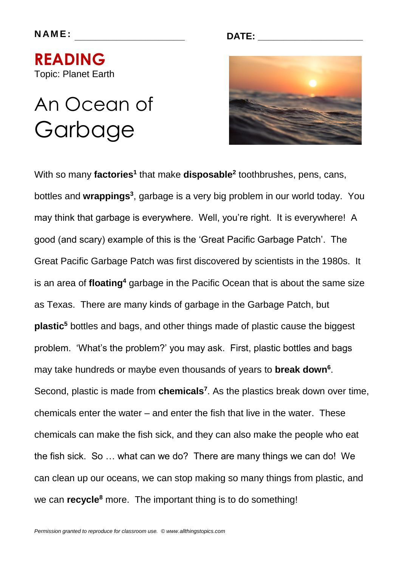**READING**  Topic: Planet Earth

### An Ocean of Garbage

**N AM E : \_\_\_\_\_\_\_\_\_\_\_\_\_\_\_\_\_\_\_\_\_ DATE: \_\_\_\_\_\_\_\_\_\_\_\_\_\_\_\_\_\_\_\_**



With so many **factories<sup>1</sup>** that make **disposable<sup>2</sup>** toothbrushes, pens, cans, bottles and wrappings<sup>3</sup>, garbage is a very big problem in our world today. You may think that garbage is everywhere. Well, you're right. It is everywhere! A good (and scary) example of this is the 'Great Pacific Garbage Patch'. The Great Pacific Garbage Patch was first discovered by scientists in the 1980s. It is an area of **floating<sup>4</sup>** garbage in the Pacific Ocean that is about the same size as Texas. There are many kinds of garbage in the Garbage Patch, but **plastic<sup>5</sup>** bottles and bags, and other things made of plastic cause the biggest problem. 'What's the problem?' you may ask. First, plastic bottles and bags may take hundreds or maybe even thousands of years to **break down<sup>6</sup>** . Second, plastic is made from **chemicals<sup>7</sup>** . As the plastics break down over time, chemicals enter the water – and enter the fish that live in the water. These chemicals can make the fish sick, and they can also make the people who eat the fish sick. So … what can we do? There are many things we can do! We can clean up our oceans, we can stop making so many things from plastic, and we can **recycle<sup>8</sup>** more. The important thing is to do something!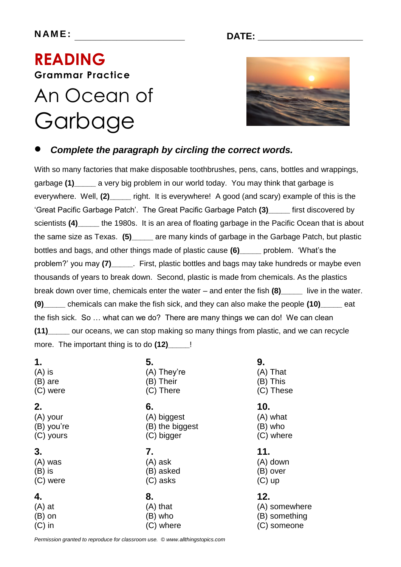### **READING Grammar Practice**  An Ocean of

# Garbage



### *Complete the paragraph by circling the correct words.*

With so many factories that make disposable toothbrushes, pens, cans, bottles and wrappings, garbage **(1)\_\_\_\_\_** a very big problem in our world today. You may think that garbage is everywhere. Well, **(2)\_\_\_\_\_** right. It is everywhere! A good (and scary) example of this is the 'Great Pacific Garbage Patch'. The Great Pacific Garbage Patch **(3)\_\_\_\_\_** first discovered by scientists (4)\_\_\_\_\_ the 1980s. It is an area of floating garbage in the Pacific Ocean that is about the same size as Texas. **(5)\_\_\_\_\_** are many kinds of garbage in the Garbage Patch, but plastic bottles and bags, and other things made of plastic cause **(6)\_\_\_\_\_** problem. 'What's the problem?' you may **(7)\_\_\_\_\_**. First, plastic bottles and bags may take hundreds or maybe even thousands of years to break down. Second, plastic is made from chemicals. As the plastics break down over time, chemicals enter the water – and enter the fish **(8)\_\_\_\_\_** live in the water. **(9)\_\_\_\_\_** chemicals can make the fish sick, and they can also make the people **(10)\_\_\_\_\_** eat the fish sick. So … what can we do? There are many things we can do! We can clean **(11)\_\_\_\_\_** our oceans, we can stop making so many things from plastic, and we can recycle more. The important thing is to do **(12)\_\_\_\_\_**!

- **1.**
- (A) is (B) are
- (C) were

#### **2.**

(A) your (B) you're (C) yours

#### **3.**

(A) was (B) is (C) were

#### **4.**

(A) at (B) on (C) in

- **5.** (A) They're (B) Their
- (C) There

#### **6.**

(A) biggest (B) the biggest (C) bigger

#### **7.** (A) ask

(B) asked (C) asks

### **8.** (A) that

- (B) who
- (C) where

#### **9.**

(A) That (B) This (C) These

#### **10.**

(A) what (B) who (C) where

#### **11.**

- (A) down (B) over
- (C) up

#### **12.**

(A) somewhere (B) something (C) someone

*Permission granted to reproduce for classroom use. © www.allthingstopics.com*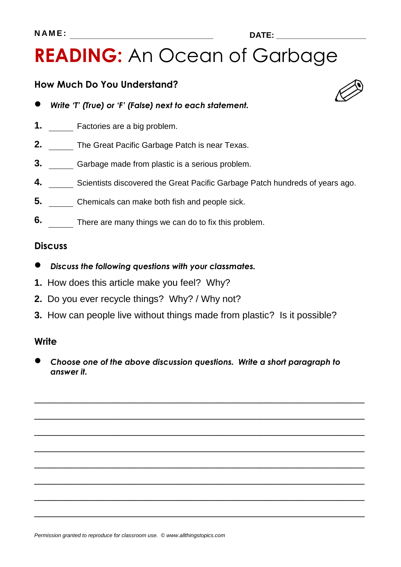## **READING:** An Ocean of Garbage

#### **How Much Do You Understand?**

- *Write 'T' (True) or 'F' (False) next to each statement.*
- **1.** Factories are a big problem.
- **2.** The Great Pacific Garbage Patch is near Texas.
- **3.** Garbage made from plastic is a serious problem.
- **4.** Scientists discovered the Great Pacific Garbage Patch hundreds of years ago.
- **5.** Chemicals can make both fish and people sick.
- **6.** There are many things we can do to fix this problem.

#### **Discuss**

- *Discuss the following questions with your classmates.*
- **1.** How does this article make you feel? Why?
- **2.** Do you ever recycle things? Why? / Why not?
- **3.** How can people live without things made from plastic? Is it possible?

#### **Write**

 *Choose one of the above discussion questions. Write a short paragraph to answer it.*

\_\_\_\_\_\_\_\_\_\_\_\_\_\_\_\_\_\_\_\_\_\_\_\_\_\_\_\_\_\_\_\_\_\_\_\_\_\_\_\_\_\_\_\_\_\_\_\_\_\_\_\_\_\_\_\_\_\_\_\_\_\_\_

\_\_\_\_\_\_\_\_\_\_\_\_\_\_\_\_\_\_\_\_\_\_\_\_\_\_\_\_\_\_\_\_\_\_\_\_\_\_\_\_\_\_\_\_\_\_\_\_\_\_\_\_\_\_\_\_\_\_\_\_\_\_\_

\_\_\_\_\_\_\_\_\_\_\_\_\_\_\_\_\_\_\_\_\_\_\_\_\_\_\_\_\_\_\_\_\_\_\_\_\_\_\_\_\_\_\_\_\_\_\_\_\_\_\_\_\_\_\_\_\_\_\_\_\_\_\_

\_\_\_\_\_\_\_\_\_\_\_\_\_\_\_\_\_\_\_\_\_\_\_\_\_\_\_\_\_\_\_\_\_\_\_\_\_\_\_\_\_\_\_\_\_\_\_\_\_\_\_\_\_\_\_\_\_\_\_\_\_\_\_

\_\_\_\_\_\_\_\_\_\_\_\_\_\_\_\_\_\_\_\_\_\_\_\_\_\_\_\_\_\_\_\_\_\_\_\_\_\_\_\_\_\_\_\_\_\_\_\_\_\_\_\_\_\_\_\_\_\_\_\_\_\_\_

\_\_\_\_\_\_\_\_\_\_\_\_\_\_\_\_\_\_\_\_\_\_\_\_\_\_\_\_\_\_\_\_\_\_\_\_\_\_\_\_\_\_\_\_\_\_\_\_\_\_\_\_\_\_\_\_\_\_\_\_\_\_\_

\_\_\_\_\_\_\_\_\_\_\_\_\_\_\_\_\_\_\_\_\_\_\_\_\_\_\_\_\_\_\_\_\_\_\_\_\_\_\_\_\_\_\_\_\_\_\_\_\_\_\_\_\_\_\_\_\_\_\_\_\_\_\_

\_\_\_\_\_\_\_\_\_\_\_\_\_\_\_\_\_\_\_\_\_\_\_\_\_\_\_\_\_\_\_\_\_\_\_\_\_\_\_\_\_\_\_\_\_\_\_\_\_\_\_\_\_\_\_\_\_\_\_\_\_\_\_